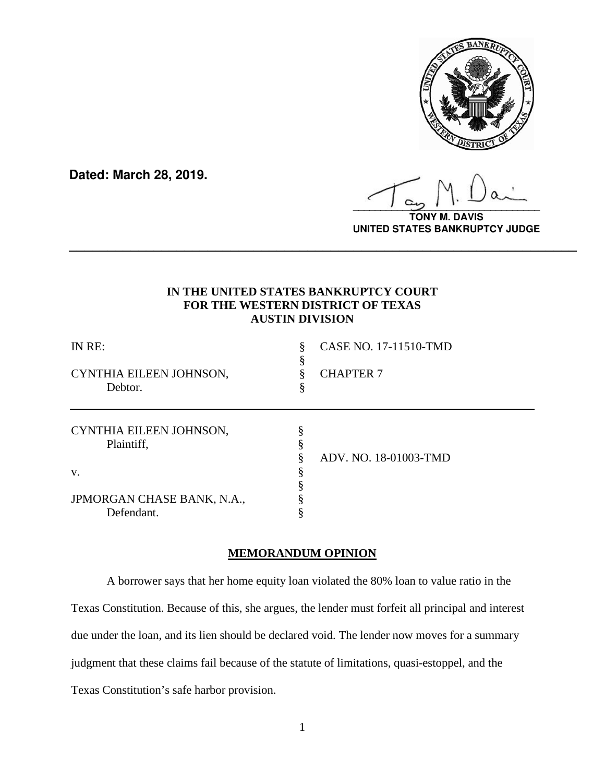

**Dated: March 28, 2019.**

**\_\_\_\_\_\_\_\_\_\_\_\_\_\_\_\_\_\_\_\_\_\_\_\_\_\_\_\_\_\_\_\_\_\_**

**TONY M. DAVIS UNITED STATES BANKRUPTCY JUDGE**

# **IN THE UNITED STATES BANKRUPTCY COURT FOR THE WESTERN DISTRICT OF TEXAS AUSTIN DIVISION**

**\_\_\_\_\_\_\_\_\_\_\_\_\_\_\_\_\_\_\_\_\_\_\_\_\_\_\_\_\_\_\_\_\_\_\_\_\_\_\_\_\_\_\_\_\_\_\_\_\_\_\_\_\_\_\_\_\_\_\_\_\_\_\_\_\_\_**

| IN RE:<br>CYNTHIA EILEEN JOHNSON,<br>Debtor. | §<br>8<br>8 | CASE NO. 17-11510-TMD<br><b>CHAPTER 7</b> |
|----------------------------------------------|-------------|-------------------------------------------|
| CYNTHIA EILEEN JOHNSON,<br>Plaintiff,        |             | ADV. NO. 18-01003-TMD                     |
| V.                                           |             |                                           |
| JPMORGAN CHASE BANK, N.A.,<br>Defendant.     |             |                                           |
|                                              |             |                                           |

### **MEMORANDUM OPINION**

A borrower says that her home equity loan violated the 80% loan to value ratio in the Texas Constitution. Because of this, she argues, the lender must forfeit all principal and interest due under the loan, and its lien should be declared void. The lender now moves for a summary judgment that these claims fail because of the statute of limitations, quasi-estoppel, and the Texas Constitution's safe harbor provision.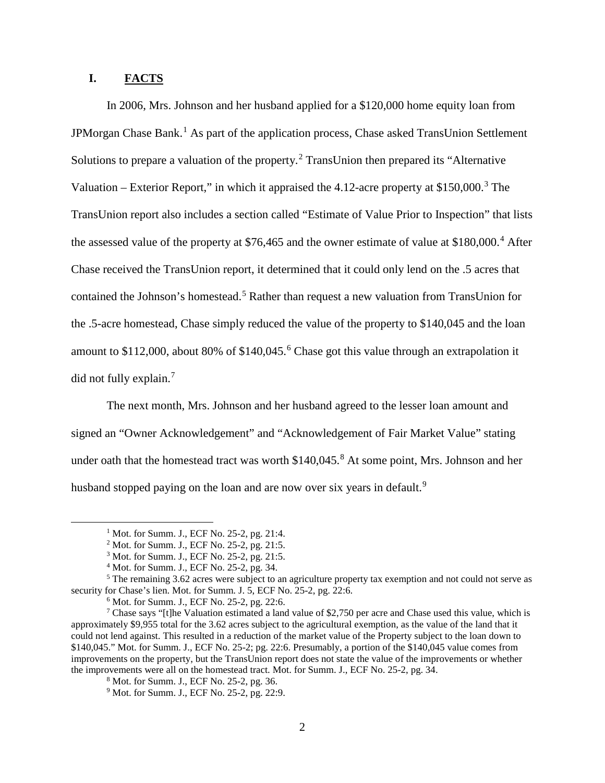# **I. FACTS**

In 2006, Mrs. Johnson and her husband applied for a \$120,000 home equity loan from JPMorgan Chase Bank.<sup>[1](#page-1-0)</sup> As part of the application process, Chase asked TransUnion Settlement Solutions to prepare a valuation of the property.<sup>[2](#page-1-1)</sup> TransUnion then prepared its "Alternative" Valuation – Exterior Report," in which it appraised the  $4.12$ -acre property at \$150,000.<sup>[3](#page-1-2)</sup> The TransUnion report also includes a section called "Estimate of Value Prior to Inspection" that lists the assessed value of the property at  $$76,465$  $$76,465$  $$76,465$  and the owner estimate of value at  $$180,000$ .<sup>4</sup> After Chase received the TransUnion report, it determined that it could only lend on the .5 acres that contained the Johnson's homestead.<sup>[5](#page-1-4)</sup> Rather than request a new valuation from TransUnion for the .5-acre homestead, Chase simply reduced the value of the property to \$140,045 and the loan amount to \$112,000, about 80% of \$140,045. [6](#page-1-5) Chase got this value through an extrapolation it did not fully explain. [7](#page-1-6)

The next month, Mrs. Johnson and her husband agreed to the lesser loan amount and signed an "Owner Acknowledgement" and "Acknowledgement of Fair Market Value" stating under oath that the homestead tract was worth  $$140,045$ .<sup>[8](#page-1-7)</sup> At some point, Mrs. Johnson and her husband stopped paying on the loan and are now over six years in default.<sup>[9](#page-1-8)</sup>

<sup>&</sup>lt;sup>1</sup> Mot. for Summ. J., ECF No. 25-2, pg. 21:4.

<sup>&</sup>lt;sup>2</sup> Mot. for Summ. J., ECF No. 25-2, pg. 21:5.

<sup>3</sup> Mot. for Summ. J., ECF No. 25-2, pg. 21:5.

<sup>4</sup> Mot. for Summ. J., ECF No. 25-2, pg. 34.

<span id="page-1-4"></span><span id="page-1-3"></span><span id="page-1-2"></span><span id="page-1-1"></span><span id="page-1-0"></span><sup>5</sup> The remaining 3.62 acres were subject to an agriculture property tax exemption and not could not serve as security for Chase's lien. Mot. for Summ. J. 5, ECF No. 25-2, pg. 22:6.

<sup>6</sup> Mot. for Summ. J., ECF No. 25-2, pg. 22:6.

<span id="page-1-8"></span><span id="page-1-7"></span><span id="page-1-6"></span><span id="page-1-5"></span><sup>&</sup>lt;sup>7</sup> Chase says "[t]he Valuation estimated a land value of \$2,750 per acre and Chase used this value, which is approximately \$9,955 total for the 3.62 acres subject to the agricultural exemption, as the value of the land that it could not lend against. This resulted in a reduction of the market value of the Property subject to the loan down to \$140,045." Mot. for Summ. J., ECF No. 25-2; pg. 22:6. Presumably, a portion of the \$140,045 value comes from improvements on the property, but the TransUnion report does not state the value of the improvements or whether the improvements were all on the homestead tract. Mot. for Summ. J., ECF No. 25-2, pg. 34.

<sup>8</sup> Mot. for Summ. J., ECF No. 25-2, pg. 36.

<sup>&</sup>lt;sup>9</sup> Mot. for Summ. J., ECF No. 25-2, pg. 22:9.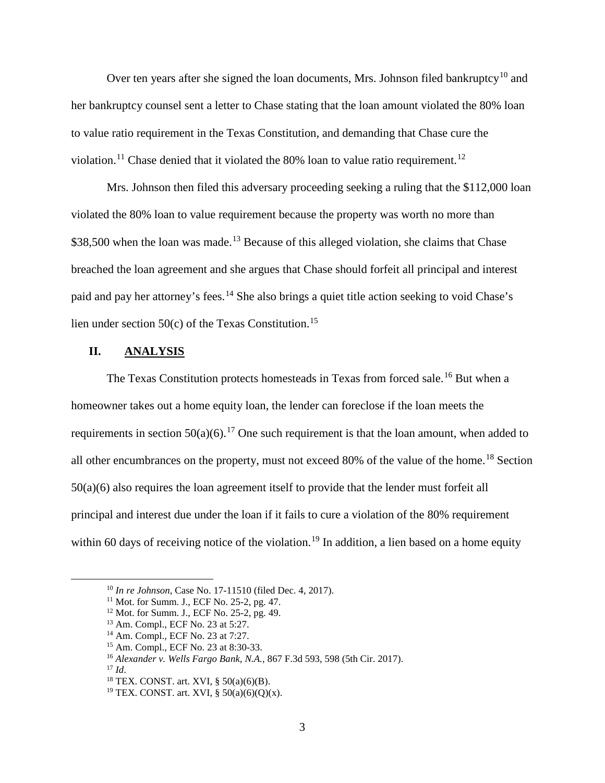Over ten years after she signed the loan documents, Mrs. Johnson filed bankruptcy<sup>[10](#page-2-0)</sup> and her bankruptcy counsel sent a letter to Chase stating that the loan amount violated the 80% loan to value ratio requirement in the Texas Constitution, and demanding that Chase cure the violation.<sup>[11](#page-2-1)</sup> Chase denied that it violated the 80% loan to value ratio requirement.<sup>[12](#page-2-2)</sup>

Mrs. Johnson then filed this adversary proceeding seeking a ruling that the \$112,000 loan violated the 80% loan to value requirement because the property was worth no more than \$38,500 when the loan was made.<sup>[13](#page-2-3)</sup> Because of this alleged violation, she claims that Chase breached the loan agreement and she argues that Chase should forfeit all principal and interest paid and pay her attorney's fees.<sup>[14](#page-2-4)</sup> She also brings a quiet title action seeking to void Chase's lien under section 50(c) of the Texas Constitution. [15](#page-2-5)

#### **II. ANALYSIS**

The Texas Constitution protects homesteads in Texas from forced sale.<sup>[16](#page-2-6)</sup> But when a homeowner takes out a home equity loan, the lender can foreclose if the loan meets the requirements in section  $50(a)(6)$ .<sup>[17](#page-2-7)</sup> One such requirement is that the loan amount, when added to all other encumbrances on the property, must not exceed 80% of the value of the home.<sup>[18](#page-2-8)</sup> Section 50(a)(6) also requires the loan agreement itself to provide that the lender must forfeit all principal and interest due under the loan if it fails to cure a violation of the 80% requirement within 60 days of receiving notice of the violation.<sup>[19](#page-2-9)</sup> In addition, a lien based on a home equity

<span id="page-2-0"></span> <sup>10</sup> *In re Johnson*, Case No. 17-11510 (filed Dec. 4, 2017).

<span id="page-2-1"></span><sup>&</sup>lt;sup>11</sup> Mot. for Summ. J., ECF No. 25-2, pg. 47.

<span id="page-2-3"></span><span id="page-2-2"></span><sup>12</sup> Mot. for Summ. J., ECF No. 25-2, pg. 49.

<sup>13</sup> Am. Compl., ECF No. 23 at 5:27.

<span id="page-2-4"></span><sup>14</sup> Am. Compl., ECF No. 23 at 7:27.

<span id="page-2-5"></span><sup>15</sup> Am. Compl., ECF No. 23 at 8:30-33.

<sup>16</sup> *Alexander v. Wells Fargo Bank, N.A.*, 867 F.3d 593, 598 (5th Cir. 2017).

<span id="page-2-8"></span><span id="page-2-7"></span><span id="page-2-6"></span><sup>17</sup> *Id*.

<sup>18</sup> TEX. CONST. art. XVI, § 50(a)(6)(B).

<span id="page-2-9"></span><sup>&</sup>lt;sup>19</sup> TEX. CONST. art. XVI, §  $50(a)(6)(Q)(x)$ .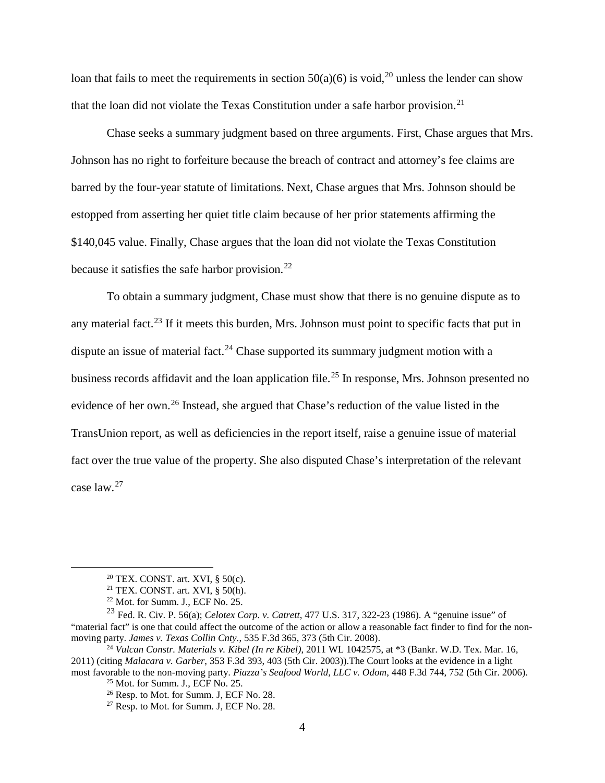loan that fails to meet the requirements in section  $50(a)(6)$  is void,<sup>[20](#page-3-0)</sup> unless the lender can show that the loan did not violate the Texas Constitution under a safe harbor provision.<sup>[21](#page-3-1)</sup>

Chase seeks a summary judgment based on three arguments. First, Chase argues that Mrs. Johnson has no right to forfeiture because the breach of contract and attorney's fee claims are barred by the four-year statute of limitations. Next, Chase argues that Mrs. Johnson should be estopped from asserting her quiet title claim because of her prior statements affirming the \$140,045 value. Finally, Chase argues that the loan did not violate the Texas Constitution because it satisfies the safe harbor provision. $^{22}$  $^{22}$  $^{22}$ 

To obtain a summary judgment, Chase must show that there is no genuine dispute as to any material fact.<sup>[23](#page-3-3)</sup> If it meets this burden, Mrs. Johnson must point to specific facts that put in dispute an issue of material fact.<sup>[24](#page-3-4)</sup> Chase supported its summary judgment motion with a business records affidavit and the loan application file.<sup>[25](#page-3-5)</sup> In response, Mrs. Johnson presented no evidence of her own. [26](#page-3-6) Instead, she argued that Chase's reduction of the value listed in the TransUnion report, as well as deficiencies in the report itself, raise a genuine issue of material fact over the true value of the property. She also disputed Chase's interpretation of the relevant case law. [27](#page-3-7)

 $20$  TEX. CONST. art. XVI, § 50(c).

 $21$  TEX. CONST. art. XVI, § 50(h).

<sup>22</sup> Mot. for Summ. J., ECF No. 25.

<span id="page-3-3"></span><span id="page-3-2"></span><span id="page-3-1"></span><span id="page-3-0"></span><sup>23</sup> Fed. R. Civ. P. 56(a); *Celotex Corp. v. Catrett*, 477 U.S. 317, 322-23 (1986). A "genuine issue" of "material fact" is one that could affect the outcome of the action or allow a reasonable fact finder to find for the nonmoving party. *James v. Texas Collin Cnty.*, 535 F.3d 365, 373 (5th Cir. 2008).

<span id="page-3-7"></span><span id="page-3-6"></span><span id="page-3-5"></span><span id="page-3-4"></span><sup>24</sup> *Vulcan Constr. Materials v. Kibel (In re Kibel)*, 2011 WL 1042575, at \*3 (Bankr. W.D. Tex. Mar. 16, 2011) (citing *Malacara v. Garber*, 353 F.3d 393, 403 (5th Cir. 2003)).The Court looks at the evidence in a light most favorable to the non-moving party. *Piazza's Seafood World, LLC v. Odom*, 448 F.3d 744, 752 (5th Cir. 2006). 25 Mot. for Summ. J., ECF No. 25.

<sup>&</sup>lt;sup>26</sup> Resp. to Mot. for Summ. J, ECF No. 28.

 $27$  Resp. to Mot. for Summ. J, ECF No. 28.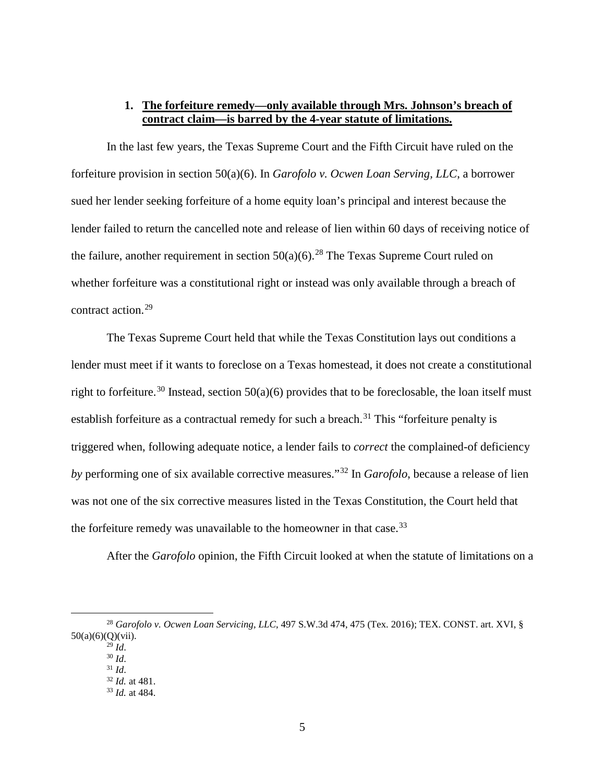# **1. The forfeiture remedy—only available through Mrs. Johnson's breach of contract claim—is barred by the 4-year statute of limitations.**

In the last few years, the Texas Supreme Court and the Fifth Circuit have ruled on the forfeiture provision in section 50(a)(6). In *Garofolo v. Ocwen Loan Serving, LLC*, a borrower sued her lender seeking forfeiture of a home equity loan's principal and interest because the lender failed to return the cancelled note and release of lien within 60 days of receiving notice of the failure, another requirement in section  $50(a)(6)$ .<sup>[28](#page-4-0)</sup> The Texas Supreme Court ruled on whether forfeiture was a constitutional right or instead was only available through a breach of contract action.<sup>[29](#page-4-1)</sup>

The Texas Supreme Court held that while the Texas Constitution lays out conditions a lender must meet if it wants to foreclose on a Texas homestead, it does not create a constitutional right to forfeiture.<sup>[30](#page-4-2)</sup> Instead, section  $50(a)(6)$  provides that to be foreclosable, the loan itself must establish forfeiture as a contractual remedy for such a breach.<sup>[31](#page-4-3)</sup> This "forfeiture penalty is triggered when, following adequate notice, a lender fails to *correct* the complained-of deficiency *by* performing one of six available corrective measures."[32](#page-4-4) In *Garofolo*, because a release of lien was not one of the six corrective measures listed in the Texas Constitution, the Court held that the forfeiture remedy was unavailable to the homeowner in that case.<sup>[33](#page-4-5)</sup>

After the *Garofolo* opinion, the Fifth Circuit looked at when the statute of limitations on a

<span id="page-4-5"></span><span id="page-4-4"></span><span id="page-4-3"></span><span id="page-4-2"></span><span id="page-4-1"></span><span id="page-4-0"></span> <sup>28</sup> *Garofolo v. Ocwen Loan Servicing, LLC*, 497 S.W.3d 474, 475 (Tex. 2016); TEX. CONST. art. XVI, § 50(a)(6)(Q)(vii).  $^{29}$  *Id.* 

<sup>30</sup> *Id*.

<sup>31</sup> *Id*.

<sup>32</sup> *Id.* at 481.

<sup>33</sup> *Id.* at 484.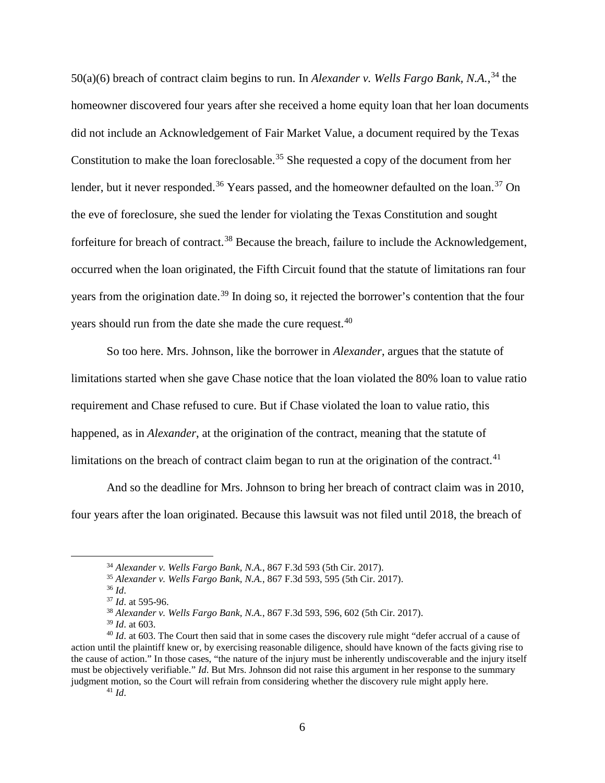50(a)(6) breach of contract claim begins to run. In *Alexander v. Wells Fargo Bank*, *N.A.*,<sup>[34](#page-5-0)</sup> the homeowner discovered four years after she received a home equity loan that her loan documents did not include an Acknowledgement of Fair Market Value, a document required by the Texas Constitution to make the loan foreclosable.<sup>[35](#page-5-1)</sup> She requested a copy of the document from her lender, but it never responded.<sup>[36](#page-5-2)</sup> Years passed, and the homeowner defaulted on the loan.<sup>[37](#page-5-3)</sup> On the eve of foreclosure, she sued the lender for violating the Texas Constitution and sought forfeiture for breach of contract.<sup>[38](#page-5-4)</sup> Because the breach, failure to include the Acknowledgement, occurred when the loan originated, the Fifth Circuit found that the statute of limitations ran four years from the origination date.<sup>[39](#page-5-5)</sup> In doing so, it rejected the borrower's contention that the four years should run from the date she made the cure request.<sup>[40](#page-5-6)</sup>

So too here. Mrs. Johnson, like the borrower in *Alexander*, argues that the statute of limitations started when she gave Chase notice that the loan violated the 80% loan to value ratio requirement and Chase refused to cure. But if Chase violated the loan to value ratio, this happened, as in *Alexander*, at the origination of the contract, meaning that the statute of limitations on the breach of contract claim began to run at the origination of the contract.<sup>[41](#page-5-7)</sup>

And so the deadline for Mrs. Johnson to bring her breach of contract claim was in 2010, four years after the loan originated. Because this lawsuit was not filed until 2018, the breach of

 <sup>34</sup> *Alexander v. Wells Fargo Bank, N.A.*, 867 F.3d 593 (5th Cir. 2017).

<sup>35</sup> *Alexander v. Wells Fargo Bank, N.A.*, 867 F.3d 593, 595 (5th Cir. 2017).

<sup>36</sup> *Id*.

<sup>37</sup> *Id*. at 595-96.

<sup>38</sup> *Alexander v. Wells Fargo Bank, N.A.*, 867 F.3d 593, 596, 602 (5th Cir. 2017).

<span id="page-5-7"></span><span id="page-5-6"></span><span id="page-5-5"></span><span id="page-5-4"></span><span id="page-5-3"></span><span id="page-5-2"></span><span id="page-5-1"></span><span id="page-5-0"></span><sup>&</sup>lt;sup>39</sup> *Id.* at 603.<br><sup>40</sup> *Id.* at 603. The Court then said that in some cases the discovery rule might "defer accrual of a cause of action until the plaintiff knew or, by exercising reasonable diligence, should have known of the facts giving rise to the cause of action." In those cases, "the nature of the injury must be inherently undiscoverable and the injury itself must be objectively verifiable." *Id*. But Mrs. Johnson did not raise this argument in her response to the summary judgment motion, so the Court will refrain from considering whether the discovery rule might apply here.

<sup>41</sup> *Id*.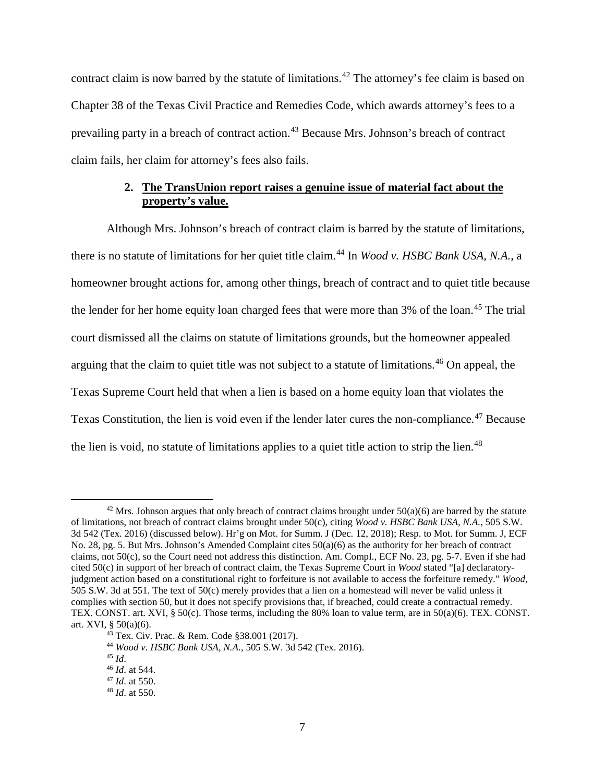contract claim is now barred by the statute of limitations.<sup>[42](#page-6-0)</sup> The attorney's fee claim is based on Chapter 38 of the Texas Civil Practice and Remedies Code, which awards attorney's fees to a prevailing party in a breach of contract action.<sup>[43](#page-6-1)</sup> Because Mrs. Johnson's breach of contract claim fails, her claim for attorney's fees also fails.

# **2. The TransUnion report raises a genuine issue of material fact about the property's value.**

Although Mrs. Johnson's breach of contract claim is barred by the statute of limitations, there is no statute of limitations for her quiet title claim. [44](#page-6-2) In *Wood v. HSBC Bank USA, N.A.*, a homeowner brought actions for, among other things, breach of contract and to quiet title because the lender for her home equity loan charged fees that were more than 3% of the loan.<sup>[45](#page-6-3)</sup> The trial court dismissed all the claims on statute of limitations grounds, but the homeowner appealed arguing that the claim to quiet title was not subject to a statute of limitations.<sup>[46](#page-6-4)</sup> On appeal, the Texas Supreme Court held that when a lien is based on a home equity loan that violates the Texas Constitution, the lien is void even if the lender later cures the non-compliance.<sup>[47](#page-6-5)</sup> Because the lien is void, no statute of limitations applies to a quiet title action to strip the lien.<sup>[48](#page-6-6)</sup>

<span id="page-6-0"></span><sup>&</sup>lt;sup>42</sup> Mrs. Johnson argues that only breach of contract claims brought under  $50(a)(6)$  are barred by the statute of limitations, not breach of contract claims brought under 50(c), citing *Wood v. HSBC Bank USA, N.A.*, 505 S.W. 3d 542 (Tex. 2016) (discussed below). Hr'g on Mot. for Summ. J (Dec. 12, 2018); Resp. to Mot. for Summ. J, ECF No. 28, pg. 5. But Mrs. Johnson's Amended Complaint cites 50(a)(6) as the authority for her breach of contract claims, not 50(c), so the Court need not address this distinction. Am. Compl., ECF No. 23, pg. 5-7. Even if she had cited 50(c) in support of her breach of contract claim, the Texas Supreme Court in *Wood* stated "[a] declaratoryjudgment action based on a constitutional right to forfeiture is not available to access the forfeiture remedy." *Wood*, 505 S.W. 3d at 551. The text of 50(c) merely provides that a lien on a homestead will never be valid unless it complies with section 50, but it does not specify provisions that, if breached, could create a contractual remedy. TEX. CONST. art. XVI, § 50(c). Those terms, including the 80% loan to value term, are in 50(a)(6). TEX. CONST. art. XVI, § 50(a)(6).

<span id="page-6-1"></span><sup>43</sup> Tex. Civ. Prac. & Rem. Code §38.001 (2017).

<span id="page-6-2"></span><sup>44</sup> *Wood v. HSBC Bank USA, N.A.*, 505 S.W. 3d 542 (Tex. 2016).

<span id="page-6-3"></span><sup>45</sup> *Id*.

<span id="page-6-4"></span><sup>46</sup> *Id*. at 544.

<span id="page-6-5"></span><sup>47</sup> *Id*. at 550.

<span id="page-6-6"></span><sup>48</sup> *Id*. at 550.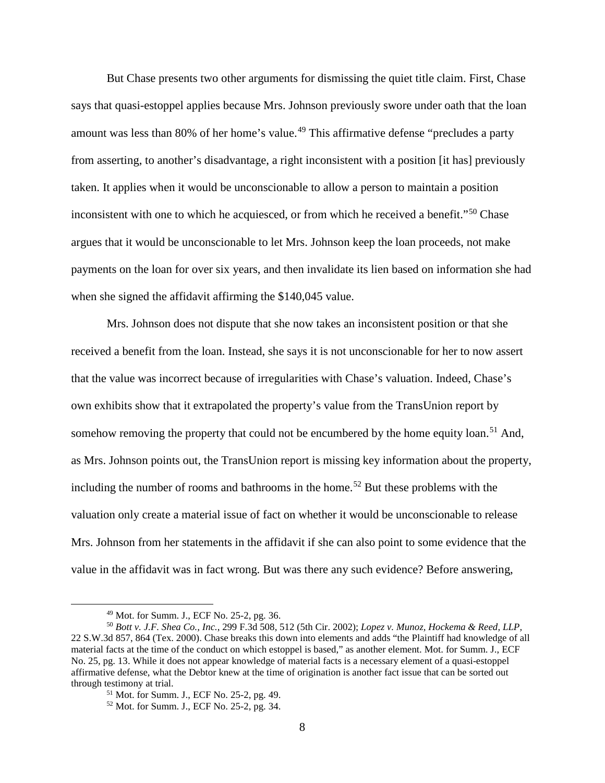But Chase presents two other arguments for dismissing the quiet title claim. First, Chase says that quasi-estoppel applies because Mrs. Johnson previously swore under oath that the loan amount was less than 80% of her home's value.<sup>[49](#page-7-0)</sup> This affirmative defense "precludes a party from asserting, to another's disadvantage, a right inconsistent with a position [it has] previously taken. It applies when it would be unconscionable to allow a person to maintain a position inconsistent with one to which he acquiesced, or from which he received a benefit."[50](#page-7-1) Chase argues that it would be unconscionable to let Mrs. Johnson keep the loan proceeds, not make payments on the loan for over six years, and then invalidate its lien based on information she had when she signed the affidavit affirming the \$140,045 value.

Mrs. Johnson does not dispute that she now takes an inconsistent position or that she received a benefit from the loan. Instead, she says it is not unconscionable for her to now assert that the value was incorrect because of irregularities with Chase's valuation. Indeed, Chase's own exhibits show that it extrapolated the property's value from the TransUnion report by somehow removing the property that could not be encumbered by the home equity loan.<sup>[51](#page-7-2)</sup> And, as Mrs. Johnson points out, the TransUnion report is missing key information about the property, including the number of rooms and bathrooms in the home.<sup>[52](#page-7-3)</sup> But these problems with the valuation only create a material issue of fact on whether it would be unconscionable to release Mrs. Johnson from her statements in the affidavit if she can also point to some evidence that the value in the affidavit was in fact wrong. But was there any such evidence? Before answering,

 <sup>49</sup> Mot. for Summ. J., ECF No. 25-2, pg. 36.

<span id="page-7-2"></span><span id="page-7-1"></span><span id="page-7-0"></span><sup>50</sup> *Bott v. J.F. Shea Co., Inc.*, 299 F.3d 508, 512 (5th Cir. 2002); *Lopez v. Munoz, Hockema & Reed, LLP,*  22 S.W.3d 857, 864 (Tex. 2000). Chase breaks this down into elements and adds "the Plaintiff had knowledge of all material facts at the time of the conduct on which estoppel is based," as another element. Mot. for Summ. J., ECF No. 25, pg. 13. While it does not appear knowledge of material facts is a necessary element of a quasi-estoppel affirmative defense, what the Debtor knew at the time of origination is another fact issue that can be sorted out through testimony at trial.

<sup>51</sup> Mot. for Summ. J., ECF No. 25-2, pg. 49.

<span id="page-7-3"></span><sup>52</sup> Mot. for Summ. J., ECF No. 25-2, pg. 34.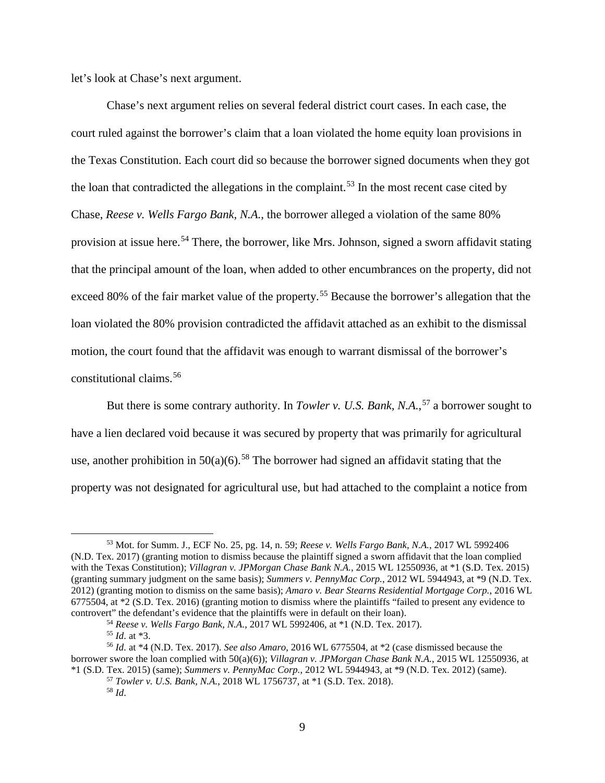let's look at Chase's next argument.

Chase's next argument relies on several federal district court cases. In each case, the court ruled against the borrower's claim that a loan violated the home equity loan provisions in the Texas Constitution. Each court did so because the borrower signed documents when they got the loan that contradicted the allegations in the complaint.<sup>[53](#page-8-0)</sup> In the most recent case cited by Chase, *Reese v. Wells Fargo Bank, N.A.*, the borrower alleged a violation of the same 80% provision at issue here.<sup>[54](#page-8-1)</sup> There, the borrower, like Mrs. Johnson, signed a sworn affidavit stating that the principal amount of the loan, when added to other encumbrances on the property, did not exceed 80% of the fair market value of the property.<sup>[55](#page-8-2)</sup> Because the borrower's allegation that the loan violated the 80% provision contradicted the affidavit attached as an exhibit to the dismissal motion, the court found that the affidavit was enough to warrant dismissal of the borrower's constitutional claims.[56](#page-8-3)

But there is some contrary authority. In *Towler v. U.S. Bank*, N.A.,<sup>[57](#page-8-4)</sup> a borrower sought to have a lien declared void because it was secured by property that was primarily for agricultural use, another prohibition in  $50(a)(6)$ .<sup>[58](#page-8-5)</sup> The borrower had signed an affidavit stating that the property was not designated for agricultural use, but had attached to the complaint a notice from

<span id="page-8-0"></span> <sup>53</sup> Mot. for Summ. J., ECF No. 25, pg. 14, n. 59; *Reese v. Wells Fargo Bank, N.A.*, 2017 WL 5992406 (N.D. Tex. 2017) (granting motion to dismiss because the plaintiff signed a sworn affidavit that the loan complied with the Texas Constitution); *Villagran v. JPMorgan Chase Bank N.A.*, 2015 WL 12550936, at \*1 (S.D. Tex. 2015) (granting summary judgment on the same basis); *Summers v. PennyMac Corp.*, 2012 WL 5944943, at \*9 (N.D. Tex. 2012) (granting motion to dismiss on the same basis); *Amaro v. Bear Stearns Residential Mortgage Corp.*, 2016 WL 6775504, at \*2 (S.D. Tex. 2016) (granting motion to dismiss where the plaintiffs "failed to present any evidence to controvert" the defendant's evidence that the plaintiffs were in default on their loan).

<sup>54</sup> *Reese v. Wells Fargo Bank, N.A.*, 2017 WL 5992406, at \*1 (N.D. Tex. 2017).

<sup>55</sup> *Id*. at \*3.

<span id="page-8-5"></span><span id="page-8-4"></span><span id="page-8-3"></span><span id="page-8-2"></span><span id="page-8-1"></span><sup>56</sup> *Id.* at \*4 (N.D. Tex. 2017). *See also Amaro*, 2016 WL 6775504, at \*2 (case dismissed because the borrower swore the loan complied with 50(a)(6)); *Villagran v. JPMorgan Chase Bank N.A.*, 2015 WL 12550936, at \*1 (S.D. Tex. 2015) (same); *Summers v. PennyMac Corp.*, 2012 WL 5944943, at \*9 (N.D. Tex. 2012) (same).

<sup>57</sup> *Towler v. U.S. Bank, N.A.*, 2018 WL 1756737, at \*1 (S.D. Tex. 2018). <sup>58</sup> *Id*.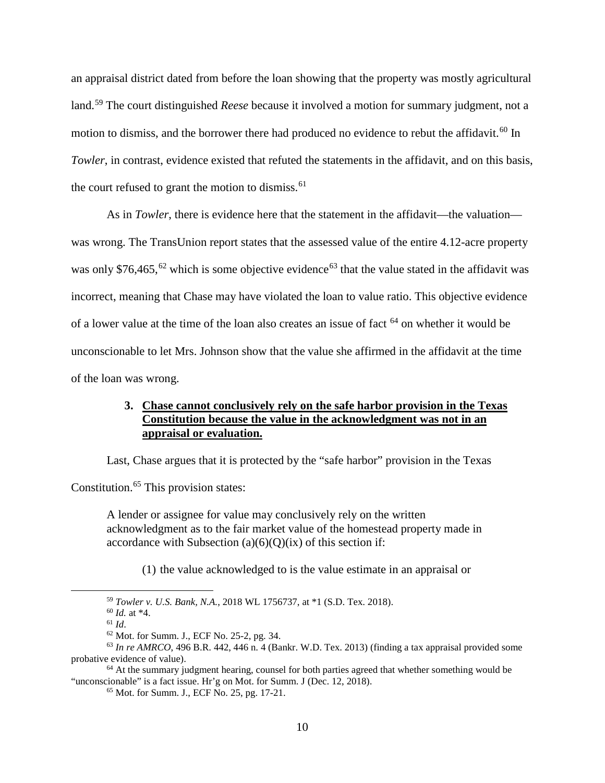an appraisal district dated from before the loan showing that the property was mostly agricultural land.[59](#page-9-0) The court distinguished *Reese* because it involved a motion for summary judgment, not a motion to dismiss, and the borrower there had produced no evidence to rebut the affidavit.<sup>[60](#page-9-1)</sup> In *Towler*, in contrast, evidence existed that refuted the statements in the affidavit, and on this basis, the court refused to grant the motion to dismiss.<sup>[61](#page-9-2)</sup>

As in *Towler*, there is evidence here that the statement in the affidavit—the valuation was wrong. The TransUnion report states that the assessed value of the entire 4.12-acre property was only \$76,465,<sup>[62](#page-9-3)</sup> which is some objective evidence<sup>[63](#page-9-4)</sup> that the value stated in the affidavit was incorrect, meaning that Chase may have violated the loan to value ratio. This objective evidence of a lower value at the time of the loan also creates an issue of fact [64](#page-9-5) on whether it would be unconscionable to let Mrs. Johnson show that the value she affirmed in the affidavit at the time of the loan was wrong.

## **3. Chase cannot conclusively rely on the safe harbor provision in the Texas Constitution because the value in the acknowledgment was not in an appraisal or evaluation.**

Last, Chase argues that it is protected by the "safe harbor" provision in the Texas

Constitution.<sup>[65](#page-9-6)</sup> This provision states:

A lender or assignee for value may conclusively rely on the written acknowledgment as to the fair market value of the homestead property made in accordance with Subsection  $(a)(6)(O)(ix)$  of this section if:

(1) the value acknowledged to is the value estimate in an appraisal or

 <sup>59</sup> *Towler v. U.S. Bank, N.A.*, 2018 WL 1756737, at \*1 (S.D. Tex. 2018).

<sup>60</sup> *Id.* at \*4.

 $61$  *Id.* 

<sup>62</sup> Mot. for Summ. J., ECF No. 25-2, pg. 34.

<span id="page-9-4"></span><span id="page-9-3"></span><span id="page-9-2"></span><span id="page-9-1"></span><span id="page-9-0"></span> $63$  *In re AMRCO*, 496 B.R. 442, 446 n. 4 (Bankr. W.D. Tex. 2013) (finding a tax appraisal provided some probative evidence of value).

<span id="page-9-6"></span><span id="page-9-5"></span> $64$  At the summary judgment hearing, counsel for both parties agreed that whether something would be "unconscionable" is a fact issue. Hr'g on Mot. for Summ. J (Dec. 12, 2018).

<sup>65</sup> Mot. for Summ. J., ECF No. 25, pg. 17-21.